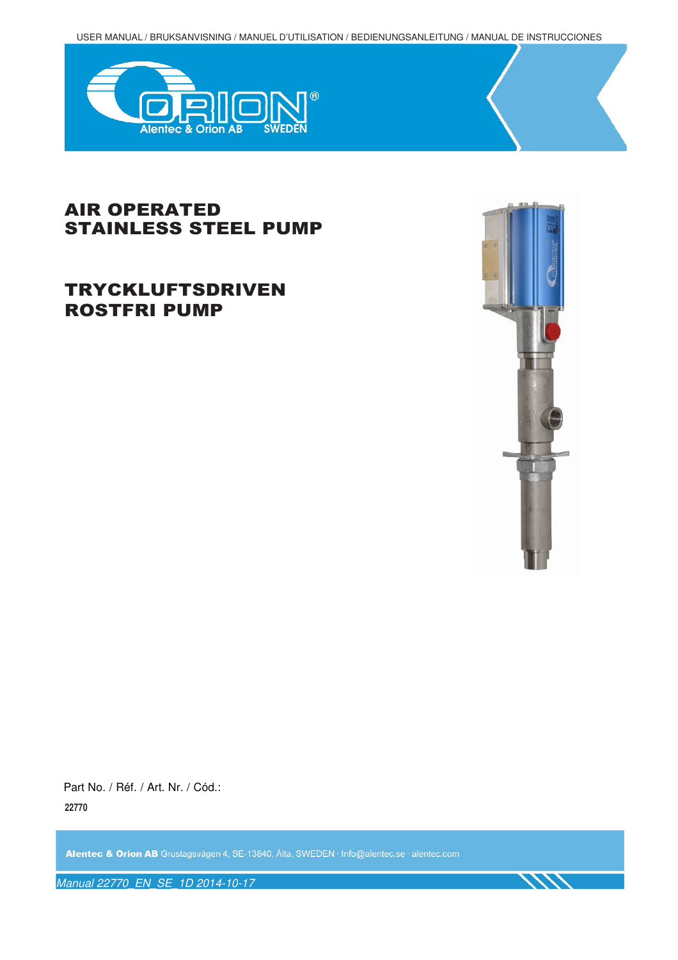USER MANUAL / BRUKSANVISNING / MANUEL D'UTILISATION / BEDIENUNGSANLEITUNG / MANUAL DE INSTRUCCIONES



## AIR OPERATED STAINLESS STEEL PUMP

# TRYCKLUFTSDRIVEN ROSTFRI PUMP



Part No. / Réf. / Art. Nr. / Cód.: **22770**

Alentec & Orion AB Grustagsvägen 4, SE-13840, Älta, SWEDEN · Info@alentec.se · alentec.com

Manual 22770\_EN\_SE\_1D 2014-10-17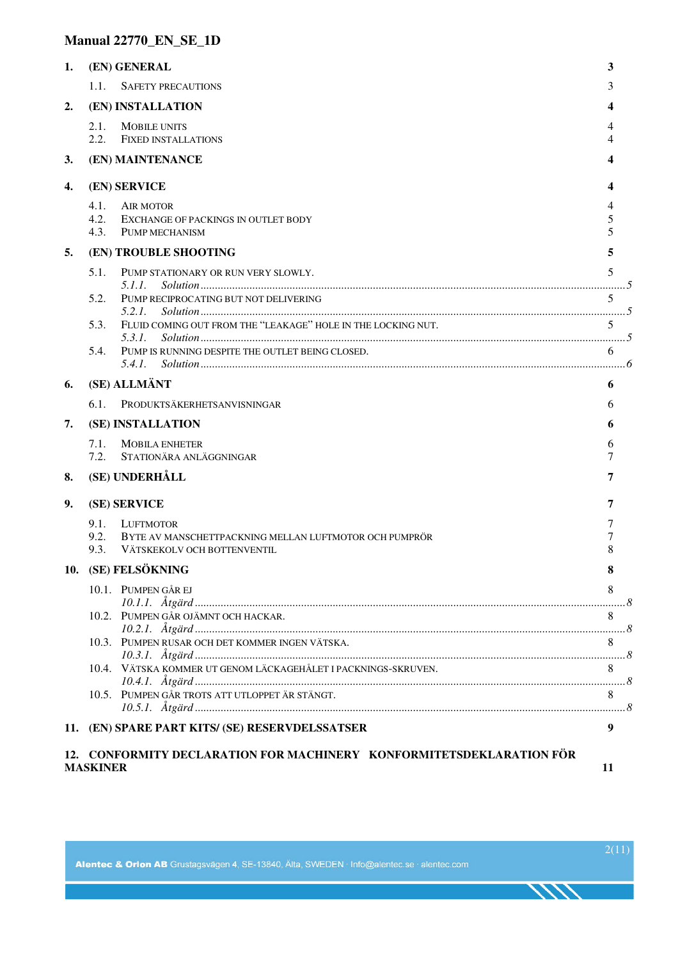## **Manual 22770\_EN\_SE\_1D**

| 1.                                                                                            |                                            | (EN) GENERAL                                                           | 3        |  |  |
|-----------------------------------------------------------------------------------------------|--------------------------------------------|------------------------------------------------------------------------|----------|--|--|
|                                                                                               | 1.1.                                       | <b>SAFETY PRECAUTIONS</b>                                              | 3        |  |  |
| 2.                                                                                            | (EN) INSTALLATION                          |                                                                        |          |  |  |
|                                                                                               | 2.1.<br>2.2.                               | <b>MOBILE UNITS</b><br><b>FIXED INSTALLATIONS</b>                      | 4        |  |  |
| 3.                                                                                            |                                            | (EN) MAINTENANCE                                                       |          |  |  |
|                                                                                               |                                            |                                                                        |          |  |  |
| 4.                                                                                            |                                            | (EN) SERVICE                                                           |          |  |  |
|                                                                                               | 4.1.<br>4.2.<br>4.3.                       | AIR MOTOR<br>EXCHANGE OF PACKINGS IN OUTLET BODY<br>PUMP MECHANISM     | 5        |  |  |
| 5.                                                                                            | (EN) TROUBLE SHOOTING                      |                                                                        |          |  |  |
|                                                                                               | 5.1.                                       | PUMP STATIONARY OR RUN VERY SLOWLY.<br>5.1.1.                          | 5        |  |  |
|                                                                                               | 5.2.                                       | PUMP RECIPROCATING BUT NOT DELIVERING                                  | 5        |  |  |
|                                                                                               | 5.3.                                       | FLUID COMING OUT FROM THE "LEAKAGE" HOLE IN THE LOCKING NUT.<br>5.3.1. | 5        |  |  |
|                                                                                               | 5.4.                                       | PUMP IS RUNNING DESPITE THE OUTLET BEING CLOSED.<br>5.4.1.             | 6        |  |  |
| 6.                                                                                            |                                            | (SE) ALLMÄNT                                                           | 6        |  |  |
|                                                                                               | 6.1.                                       | PRODUKTSÄKERHETSANVISNINGAR                                            | 6        |  |  |
| 7.                                                                                            |                                            | (SE) INSTALLATION                                                      | 6        |  |  |
|                                                                                               | 7.1.<br>7.2.                               | <b>MOBILA ENHETER</b><br>STATIONÄRA ANLÄGGNINGAR                       | 6<br>7   |  |  |
| 8.                                                                                            |                                            | (SE) UNDERHÅLL                                                         | 7        |  |  |
| 9.                                                                                            | (SE) SERVICE                               |                                                                        |          |  |  |
|                                                                                               | 9.1.<br>9.2.                               | LUFTMOTOR<br>BYTE AV MANSCHETTPACKNING MELLAN LUFTMOTOR OCH PUMPRÖR    | 7        |  |  |
|                                                                                               | 9.3.                                       | VÄTSKEKOLV OCH BOTTENVENTIL                                            | 8        |  |  |
|                                                                                               | 10. (SE) FELSÖKNING<br>10.1. PUMPEN GÅR EJ |                                                                        |          |  |  |
|                                                                                               |                                            |                                                                        | 8<br>. 8 |  |  |
|                                                                                               |                                            | 10.2. PUMPEN GÅR OJÄMNT OCH HACKAR.                                    | 8        |  |  |
|                                                                                               |                                            |                                                                        |          |  |  |
|                                                                                               |                                            | 10.4. VÄTSKA KOMMER UT GENOM LÄCKAGEHÅLET I PACKNINGS-SKRUVEN.         | 8        |  |  |
|                                                                                               |                                            | 10.5. PUMPEN GÅR TROTS ATT UTLOPPET ÄR STÄNGT.                         | 8        |  |  |
|                                                                                               |                                            | 11. (EN) SPARE PART KITS/ (SE) RESERVDELSSATSER                        | 9        |  |  |
| 12. CONFORMITY DECLARATION FOR MACHINERY KONFORMITETSDEKLARATION FÖR<br><b>MASKINER</b><br>11 |                                            |                                                                        |          |  |  |

**TITT**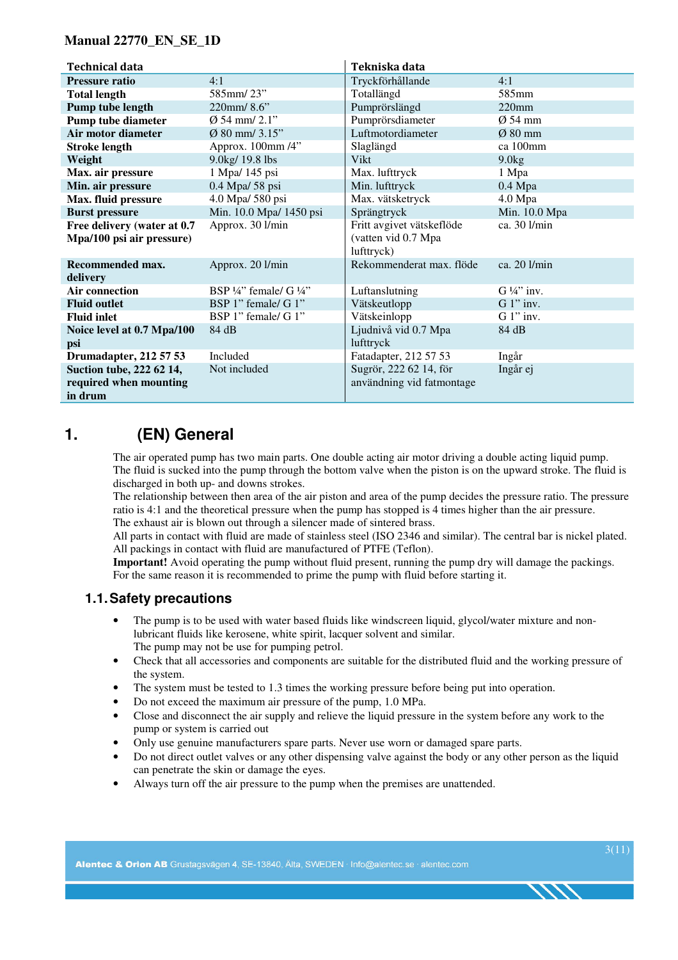#### **Manual 22770\_EN\_SE\_1D**

| <b>Technical data</b>                                         |                                               | Tekniska data                                                  |                       |
|---------------------------------------------------------------|-----------------------------------------------|----------------------------------------------------------------|-----------------------|
| <b>Pressure ratio</b>                                         | 4:1                                           | Tryckförhållande                                               | 4:1                   |
| <b>Total length</b>                                           | 585mm/23"                                     | Totallängd                                                     | 585 <sub>mm</sub>     |
| Pump tube length                                              | 220mm/ $8.6$ "                                | Pumprörslängd                                                  | $220$ mm              |
| <b>Pump tube diameter</b>                                     | $\emptyset$ 54 mm/ 2.1"                       | Pumprörsdiameter                                               | $\varnothing$ 54 mm   |
| Air motor diameter                                            | $\varnothing$ 80 mm/ 3.15"                    | Luftmotordiameter                                              | $Ø$ 80 mm             |
| <b>Stroke length</b>                                          | Approx. 100mm /4"                             | Slaglängd                                                      | ca 100mm              |
| Weight                                                        | 9.0kg/ 19.8 lbs                               | Vikt                                                           | 9.0kg                 |
| Max. air pressure                                             | 1 Mpa/ 145 psi                                | Max. lufttryck                                                 | 1 Mpa                 |
| Min. air pressure                                             | 0.4 Mpa/ 58 psi                               | Min. lufttryck                                                 | $0.4$ Mpa             |
| Max. fluid pressure                                           | 4.0 Mpa/ 580 psi                              | Max. vätsketryck                                               | 4.0 Mpa               |
| <b>Burst pressure</b>                                         | Min. 10.0 Mpa/ 1450 psi                       | Sprängtryck                                                    | Min. 10.0 Mpa         |
| Free delivery (water at 0.7<br>Mpa/100 psi air pressure)      | Approx. 30 l/min                              | Fritt avgivet vätskeflöde<br>(vatten vid 0.7 Mpa<br>lufttryck) | ca. 30 l/min          |
| Recommended max.<br>delivery                                  | Approx. 20 l/min                              | Rekommenderat max. flöde                                       | ca. 20 l/min          |
| <b>Air connection</b>                                         | BSP $\frac{1}{4}$ " female/ G $\frac{1}{4}$ " | Luftanslutning                                                 | $G\frac{1}{4}$ " inv. |
| <b>Fluid outlet</b>                                           | BSP 1" female/ G 1"                           | Vätskeutlopp                                                   | $G 1"$ inv.           |
| <b>Fluid inlet</b>                                            | BSP 1" female/ G 1"                           | Vätskeinlopp                                                   | $G 1$ " inv.          |
| Noice level at 0.7 Mpa/100<br>psi                             | 84 dB                                         | Ljudnivå vid 0.7 Mpa<br>lufttryck                              | 84 dB                 |
| Drumadapter, 212 57 53                                        | Included                                      | Fatadapter, 212 57 53                                          | Ingår                 |
| Suction tube, 222 62 14,<br>required when mounting<br>in drum | Not included                                  | Sugrör, 222 62 14, för<br>användning vid fatmontage            | Ingår ej              |

## **1. (EN) General**

The air operated pump has two main parts. One double acting air motor driving a double acting liquid pump. The fluid is sucked into the pump through the bottom valve when the piston is on the upward stroke. The fluid is discharged in both up- and downs strokes.

The relationship between then area of the air piston and area of the pump decides the pressure ratio. The pressure ratio is 4:1 and the theoretical pressure when the pump has stopped is 4 times higher than the air pressure. The exhaust air is blown out through a silencer made of sintered brass.

All parts in contact with fluid are made of stainless steel (ISO 2346 and similar). The central bar is nickel plated. All packings in contact with fluid are manufactured of PTFE (Teflon).

**Important!** Avoid operating the pump without fluid present, running the pump dry will damage the packings. For the same reason it is recommended to prime the pump with fluid before starting it.

### **1.1. Safety precautions**

- The pump is to be used with water based fluids like windscreen liquid, glycol/water mixture and nonlubricant fluids like kerosene, white spirit, lacquer solvent and similar. The pump may not be use for pumping petrol.
- Check that all accessories and components are suitable for the distributed fluid and the working pressure of the system.
- The system must be tested to 1.3 times the working pressure before being put into operation.
- Do not exceed the maximum air pressure of the pump, 1.0 MPa.
- Close and disconnect the air supply and relieve the liquid pressure in the system before any work to the pump or system is carried out
- Only use genuine manufacturers spare parts. Never use worn or damaged spare parts.
- Do not direct outlet valves or any other dispensing valve against the body or any other person as the liquid can penetrate the skin or damage the eyes.
- Always turn off the air pressure to the pump when the premises are unattended.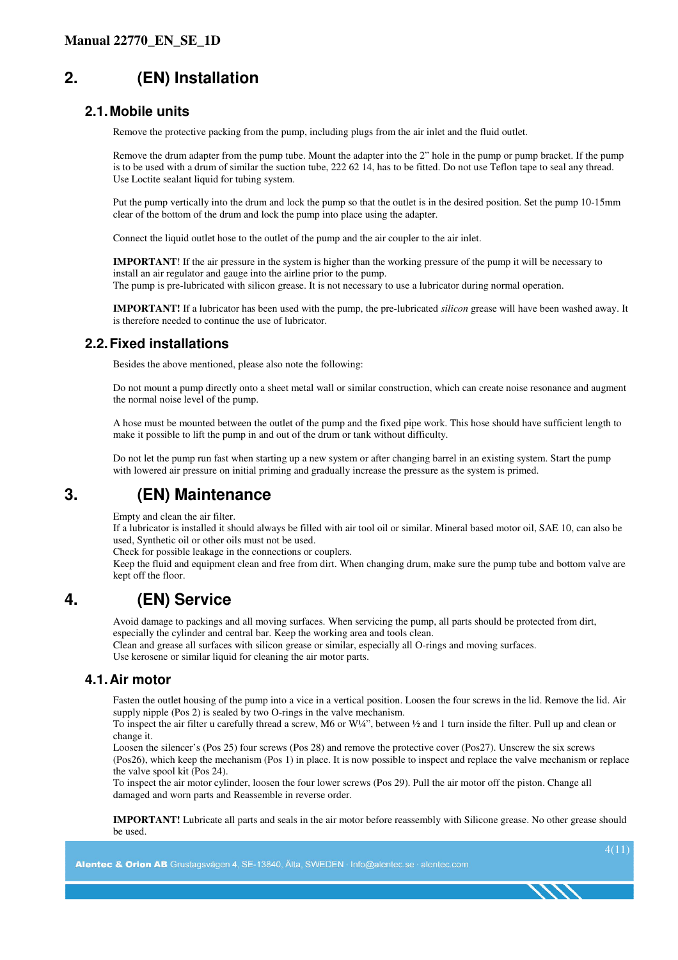# **2. (EN) Installation**

#### **2.1. Mobile units**

Remove the protective packing from the pump, including plugs from the air inlet and the fluid outlet.

Remove the drum adapter from the pump tube. Mount the adapter into the 2" hole in the pump or pump bracket. If the pump is to be used with a drum of similar the suction tube, 222 62 14, has to be fitted. Do not use Teflon tape to seal any thread. Use Loctite sealant liquid for tubing system.

Put the pump vertically into the drum and lock the pump so that the outlet is in the desired position. Set the pump 10-15mm clear of the bottom of the drum and lock the pump into place using the adapter.

Connect the liquid outlet hose to the outlet of the pump and the air coupler to the air inlet.

**IMPORTANT**! If the air pressure in the system is higher than the working pressure of the pump it will be necessary to install an air regulator and gauge into the airline prior to the pump. The pump is pre-lubricated with silicon grease. It is not necessary to use a lubricator during normal operation.

**IMPORTANT!** If a lubricator has been used with the pump, the pre-lubricated *silicon* grease will have been washed away. It is therefore needed to continue the use of lubricator.

### **2.2. Fixed installations**

Besides the above mentioned, please also note the following:

Do not mount a pump directly onto a sheet metal wall or similar construction, which can create noise resonance and augment the normal noise level of the pump.

A hose must be mounted between the outlet of the pump and the fixed pipe work. This hose should have sufficient length to make it possible to lift the pump in and out of the drum or tank without difficulty.

Do not let the pump run fast when starting up a new system or after changing barrel in an existing system. Start the pump with lowered air pressure on initial priming and gradually increase the pressure as the system is primed.

## **3. (EN) Maintenance**

Empty and clean the air filter.

If a lubricator is installed it should always be filled with air tool oil or similar. Mineral based motor oil, SAE 10, can also be used, Synthetic oil or other oils must not be used.

Check for possible leakage in the connections or couplers.

Keep the fluid and equipment clean and free from dirt. When changing drum, make sure the pump tube and bottom valve are kept off the floor.

## **4. (EN) Service**

Avoid damage to packings and all moving surfaces. When servicing the pump, all parts should be protected from dirt, especially the cylinder and central bar. Keep the working area and tools clean.

Clean and grease all surfaces with silicon grease or similar, especially all O-rings and moving surfaces.

Use kerosene or similar liquid for cleaning the air motor parts.

#### **4.1. Air motor**

Fasten the outlet housing of the pump into a vice in a vertical position. Loosen the four screws in the lid. Remove the lid. Air supply nipple (Pos 2) is sealed by two O-rings in the valve mechanism.

To inspect the air filter u carefully thread a screw, M6 or W¼", between ½ and 1 turn inside the filter. Pull up and clean or change it.

Loosen the silencer's (Pos 25) four screws (Pos 28) and remove the protective cover (Pos27). Unscrew the six screws (Pos26), which keep the mechanism (Pos 1) in place. It is now possible to inspect and replace the valve mechanism or replace the valve spool kit (Pos 24).

To inspect the air motor cylinder, loosen the four lower screws (Pos 29). Pull the air motor off the piston. Change all damaged and worn parts and Reassemble in reverse order.

**IMPORTANT!** Lubricate all parts and seals in the air motor before reassembly with Silicone grease. No other grease should be used.

Alentec & Orion AB Grustagsvägen 4. SE-13840. Älta, SWEDEN · Info@alentec.se · alentec.com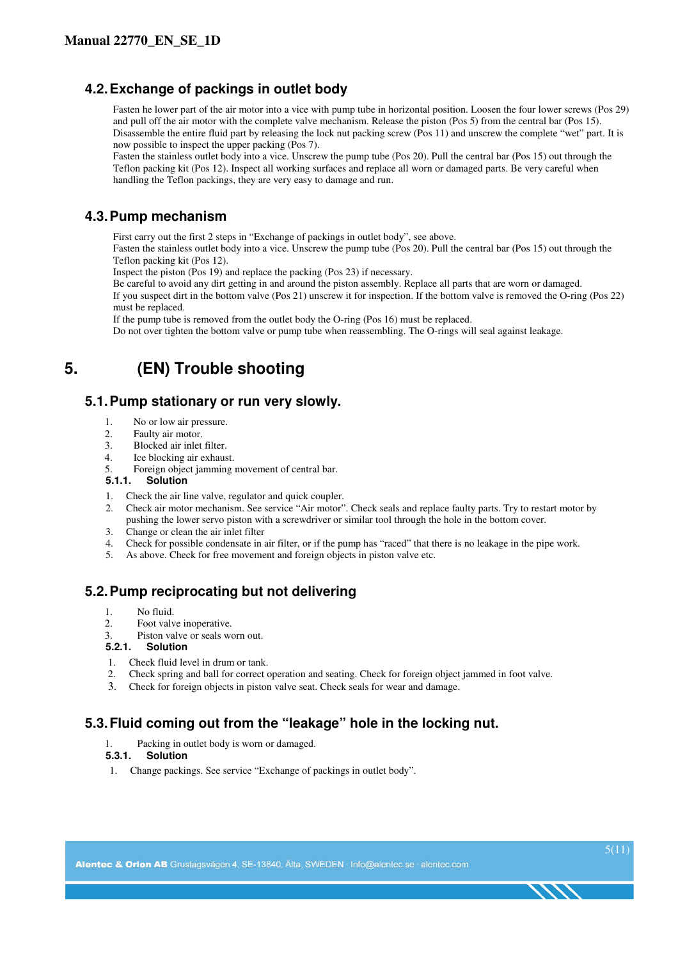### **4.2. Exchange of packings in outlet body**

Fasten he lower part of the air motor into a vice with pump tube in horizontal position. Loosen the four lower screws (Pos 29) and pull off the air motor with the complete valve mechanism. Release the piston (Pos 5) from the central bar (Pos 15). Disassemble the entire fluid part by releasing the lock nut packing screw (Pos 11) and unscrew the complete "wet" part. It is now possible to inspect the upper packing (Pos 7).

Fasten the stainless outlet body into a vice. Unscrew the pump tube (Pos 20). Pull the central bar (Pos 15) out through the Teflon packing kit (Pos 12). Inspect all working surfaces and replace all worn or damaged parts. Be very careful when handling the Teflon packings, they are very easy to damage and run.

#### **4.3. Pump mechanism**

First carry out the first 2 steps in "Exchange of packings in outlet body", see above.

Fasten the stainless outlet body into a vice. Unscrew the pump tube (Pos 20). Pull the central bar (Pos 15) out through the Teflon packing kit (Pos 12).

Inspect the piston (Pos 19) and replace the packing (Pos 23) if necessary.

Be careful to avoid any dirt getting in and around the piston assembly. Replace all parts that are worn or damaged. If you suspect dirt in the bottom valve (Pos 21) unscrew it for inspection. If the bottom valve is removed the O-ring (Pos 22)

must be replaced.

If the pump tube is removed from the outlet body the O-ring (Pos 16) must be replaced.

Do not over tighten the bottom valve or pump tube when reassembling. The O-rings will seal against leakage.

# **5. (EN) Trouble shooting**

#### **5.1. Pump stationary or run very slowly.**

- 1. No or low air pressure.
- 2. Faulty air motor.
- 3. Blocked air inlet filter.
- 4. Ice blocking air exhaust.
- 5. Foreign object jamming movement of central bar.<br>5.1.1. Solution

#### **5.1.1. Solution**

- 1. Check the air line valve, regulator and quick coupler.
- 2. Check air motor mechanism. See service "Air motor". Check seals and replace faulty parts. Try to restart motor by pushing the lower servo piston with a screwdriver or similar tool through the hole in the bottom cover.
- 3. Change or clean the air inlet filter
- 4. Check for possible condensate in air filter, or if the pump has "raced" that there is no leakage in the pipe work.<br>5. As above. Check for free movement and foreign objects in piston valve etc.
- As above. Check for free movement and foreign objects in piston valve etc.

## **5.2. Pump reciprocating but not delivering**

- 1. No fluid.
- 2. Foot valve inoperative.
- 3. Piston valve or seals worn out.

#### **5.2.1. Solution**

- 1. Check fluid level in drum or tank.
- 2. Check spring and ball for correct operation and seating. Check for foreign object jammed in foot valve.
- 3. Check for foreign objects in piston valve seat. Check seals for wear and damage.

### **5.3. Fluid coming out from the "leakage" hole in the locking nut.**

1. Packing in outlet body is worn or damaged.

#### **5.3.1. Solution**

1. Change packings. See service "Exchange of packings in outlet body".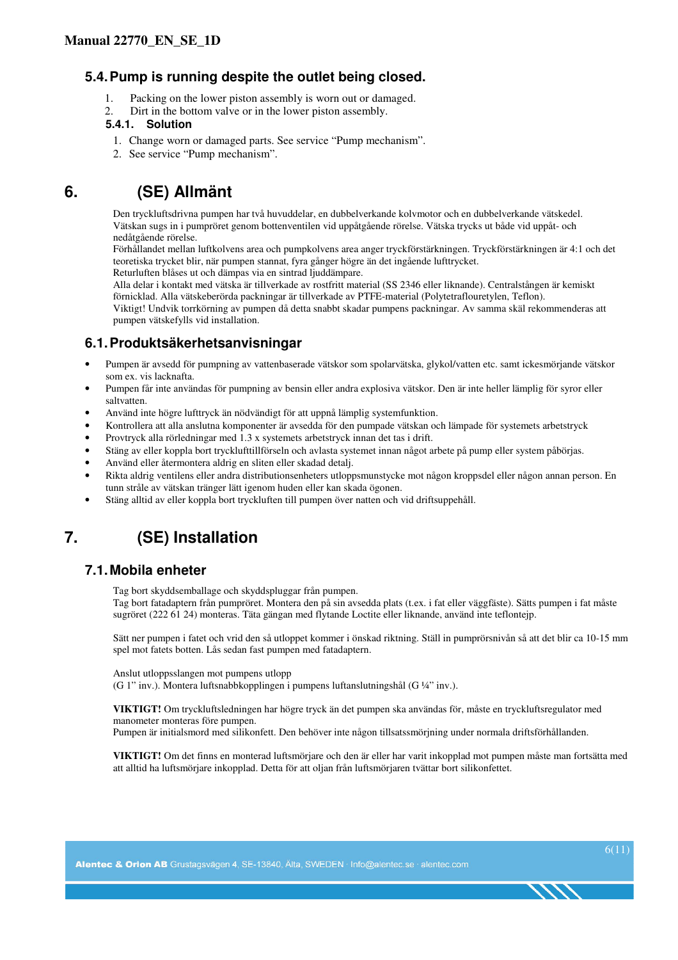#### **5.4. Pump is running despite the outlet being closed.**

- 1. Packing on the lower piston assembly is worn out or damaged.
- 2. Dirt in the bottom valve or in the lower piston assembly.

#### **5.4.1. Solution**

- 1. Change worn or damaged parts. See service "Pump mechanism".
- 2. See service "Pump mechanism".

# **6. (SE) Allmänt**

Den tryckluftsdrivna pumpen har två huvuddelar, en dubbelverkande kolvmotor och en dubbelverkande vätskedel. Vätskan sugs in i pumpröret genom bottenventilen vid uppåtgående rörelse. Vätska trycks ut både vid uppåt- och nedåtgående rörelse.

Förhållandet mellan luftkolvens area och pumpkolvens area anger tryckförstärkningen. Tryckförstärkningen är 4:1 och det teoretiska trycket blir, när pumpen stannat, fyra gånger högre än det ingående lufttrycket. Returluften blåses ut och dämpas via en sintrad ljuddämpare.

Alla delar i kontakt med vätska är tillverkade av rostfritt material (SS 2346 eller liknande). Centralstången är kemiskt förnicklad. Alla vätskeberörda packningar är tillverkade av PTFE-material (Polytetraflouretylen, Teflon).

Viktigt! Undvik torrkörning av pumpen då detta snabbt skadar pumpens packningar. Av samma skäl rekommenderas att pumpen vätskefylls vid installation.

## **6.1. Produktsäkerhetsanvisningar**

- Pumpen är avsedd för pumpning av vattenbaserade vätskor som spolarvätska, glykol/vatten etc. samt ickesmörjande vätskor som ex. vis lacknafta.
- Pumpen får inte användas för pumpning av bensin eller andra explosiva vätskor. Den är inte heller lämplig för syror eller saltvatten.
- Använd inte högre lufttryck än nödvändigt för att uppnå lämplig systemfunktion.
- Kontrollera att alla anslutna komponenter är avsedda för den pumpade vätskan och lämpade för systemets arbetstryck
- Provtryck alla rörledningar med 1.3 x systemets arbetstryck innan det tas i drift.
- Stäng av eller koppla bort trycklufttillförseln och avlasta systemet innan något arbete på pump eller system påbörjas.
- Använd eller återmontera aldrig en sliten eller skadad detalj.
- Rikta aldrig ventilens eller andra distributionsenheters utloppsmunstycke mot någon kroppsdel eller någon annan person. En tunn stråle av vätskan tränger lätt igenom huden eller kan skada ögonen.
- Stäng alltid av eller koppla bort tryckluften till pumpen över natten och vid driftsuppehåll.

# **7. (SE) Installation**

### **7.1. Mobila enheter**

Tag bort skyddsemballage och skyddspluggar från pumpen.

Tag bort fatadaptern från pumpröret. Montera den på sin avsedda plats (t.ex. i fat eller väggfäste). Sätts pumpen i fat måste sugröret (222 61 24) monteras. Täta gängan med flytande Loctite eller liknande, använd inte teflontejp.

Sätt ner pumpen i fatet och vrid den så utloppet kommer i önskad riktning. Ställ in pumprörsnivån så att det blir ca 10-15 mm spel mot fatets botten. Lås sedan fast pumpen med fatadaptern.

Anslut utloppsslangen mot pumpens utlopp (G 1" inv.). Montera luftsnabbkopplingen i pumpens luftanslutningshål (G ¼" inv.).

**VIKTIGT!** Om tryckluftsledningen har högre tryck än det pumpen ska användas för, måste en tryckluftsregulator med manometer monteras före pumpen.

Pumpen är initialsmord med silikonfett. Den behöver inte någon tillsatssmörjning under normala driftsförhållanden.

**VIKTIGT!** Om det finns en monterad luftsmörjare och den är eller har varit inkopplad mot pumpen måste man fortsätta med att alltid ha luftsmörjare inkopplad. Detta för att oljan från luftsmörjaren tvättar bort silikonfettet.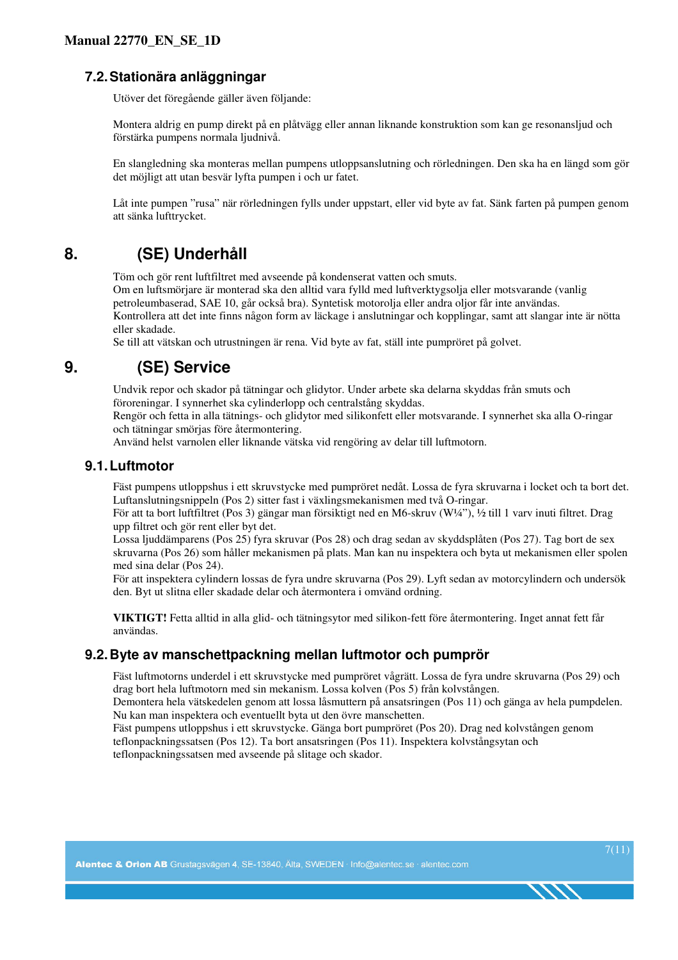## **7.2. Stationära anläggningar**

Utöver det föregående gäller även följande:

Montera aldrig en pump direkt på en plåtvägg eller annan liknande konstruktion som kan ge resonansljud och förstärka pumpens normala ljudnivå.

En slangledning ska monteras mellan pumpens utloppsanslutning och rörledningen. Den ska ha en längd som gör det möjligt att utan besvär lyfta pumpen i och ur fatet.

Låt inte pumpen "rusa" när rörledningen fylls under uppstart, eller vid byte av fat. Sänk farten på pumpen genom att sänka lufttrycket.

# **8. (SE) Underhåll**

Töm och gör rent luftfiltret med avseende på kondenserat vatten och smuts.

Om en luftsmörjare är monterad ska den alltid vara fylld med luftverktygsolja eller motsvarande (vanlig petroleumbaserad, SAE 10, går också bra). Syntetisk motorolja eller andra oljor får inte användas. Kontrollera att det inte finns någon form av läckage i anslutningar och kopplingar, samt att slangar inte är nötta eller skadade.

Se till att vätskan och utrustningen är rena. Vid byte av fat, ställ inte pumpröret på golvet.

## **9. (SE) Service**

Undvik repor och skador på tätningar och glidytor. Under arbete ska delarna skyddas från smuts och föroreningar. I synnerhet ska cylinderlopp och centralstång skyddas.

Rengör och fetta in alla tätnings- och glidytor med silikonfett eller motsvarande. I synnerhet ska alla O-ringar och tätningar smörjas före återmontering.

Använd helst varnolen eller liknande vätska vid rengöring av delar till luftmotorn.

#### **9.1. Luftmotor**

Fäst pumpens utloppshus i ett skruvstycke med pumpröret nedåt. Lossa de fyra skruvarna i locket och ta bort det. Luftanslutningsnippeln (Pos 2) sitter fast i växlingsmekanismen med två O-ringar.

För att ta bort luftfiltret (Pos 3) gängar man försiktigt ned en M6-skruv (W¼"), ½ till 1 varv inuti filtret. Drag upp filtret och gör rent eller byt det.

Lossa ljuddämparens (Pos 25) fyra skruvar (Pos 28) och drag sedan av skyddsplåten (Pos 27). Tag bort de sex skruvarna (Pos 26) som håller mekanismen på plats. Man kan nu inspektera och byta ut mekanismen eller spolen med sina delar (Pos 24).

För att inspektera cylindern lossas de fyra undre skruvarna (Pos 29). Lyft sedan av motorcylindern och undersök den. Byt ut slitna eller skadade delar och återmontera i omvänd ordning.

**VIKTIGT!** Fetta alltid in alla glid- och tätningsytor med silikon-fett före återmontering. Inget annat fett får användas.

### **9.2. Byte av manschettpackning mellan luftmotor och pumprör**

Fäst luftmotorns underdel i ett skruvstycke med pumpröret vågrätt. Lossa de fyra undre skruvarna (Pos 29) och drag bort hela luftmotorn med sin mekanism. Lossa kolven (Pos 5) från kolvstången.

Demontera hela vätskedelen genom att lossa låsmuttern på ansatsringen (Pos 11) och gänga av hela pumpdelen. Nu kan man inspektera och eventuellt byta ut den övre manschetten.

Fäst pumpens utloppshus i ett skruvstycke. Gänga bort pumpröret (Pos 20). Drag ned kolvstången genom teflonpackningssatsen (Pos 12). Ta bort ansatsringen (Pos 11). Inspektera kolvstångsytan och teflonpackningssatsen med avseende på slitage och skador.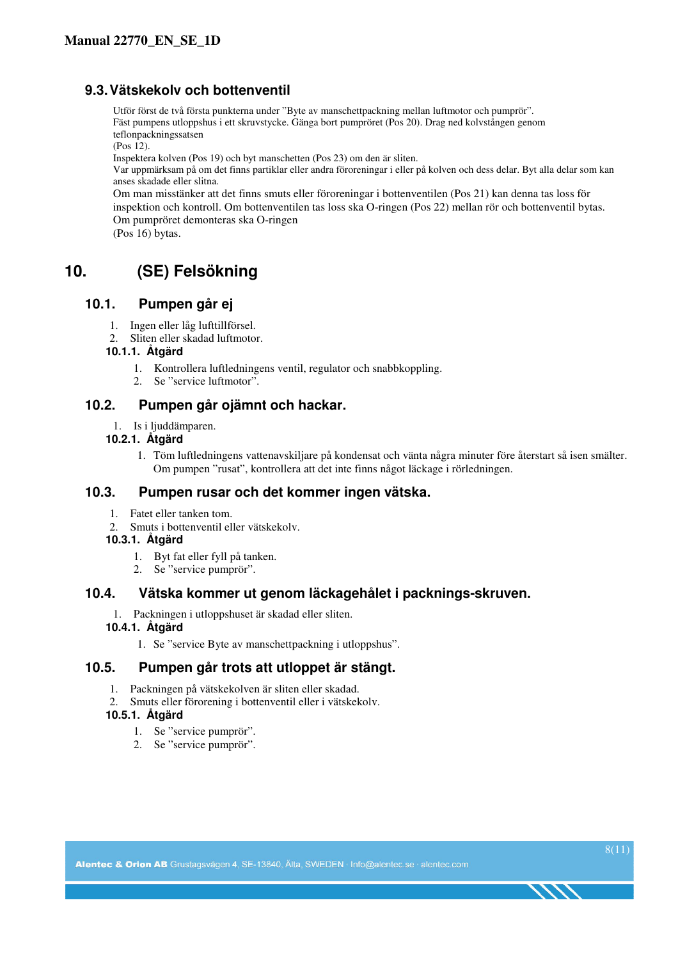### **9.3. Vätskekolv och bottenventil**

Utför först de två första punkterna under "Byte av manschettpackning mellan luftmotor och pumprör". Fäst pumpens utloppshus i ett skruvstycke. Gänga bort pumpröret (Pos 20). Drag ned kolvstången genom teflonpackningssatsen

(Pos 12).

Inspektera kolven (Pos 19) och byt manschetten (Pos 23) om den är sliten.

Var uppmärksam på om det finns partiklar eller andra föroreningar i eller på kolven och dess delar. Byt alla delar som kan anses skadade eller slitna.

Om man misstänker att det finns smuts eller föroreningar i bottenventilen (Pos 21) kan denna tas loss för inspektion och kontroll. Om bottenventilen tas loss ska O-ringen (Pos 22) mellan rör och bottenventil bytas. Om pumpröret demonteras ska O-ringen

(Pos 16) bytas.

## **10. (SE) Felsökning**

#### **10.1. Pumpen går ej**

- 1. Ingen eller låg lufttillförsel.
- 2. Sliten eller skadad luftmotor.

#### **10.1.1. Åtgärd**

- 1. Kontrollera luftledningens ventil, regulator och snabbkoppling.
- 2. Se "service luftmotor".

#### **10.2. Pumpen går ojämnt och hackar.**

1. Is i ljuddämparen.

#### **10.2.1. Åtgärd**

1. Töm luftledningens vattenavskiljare på kondensat och vänta några minuter före återstart så isen smälter. Om pumpen "rusat", kontrollera att det inte finns något läckage i rörledningen.

#### **10.3. Pumpen rusar och det kommer ingen vätska.**

- 1. Fatet eller tanken tom.
- 2. Smuts i bottenventil eller vätskekolv.

#### **10.3.1. Åtgärd**

- 1. Byt fat eller fyll på tanken.
- 2. Se "service pumprör".

#### **10.4. Vätska kommer ut genom läckagehålet i packnings-skruven.**

1. Packningen i utloppshuset är skadad eller sliten.

#### **10.4.1. Åtgärd**

1. Se "service Byte av manschettpackning i utloppshus".

### **10.5. Pumpen går trots att utloppet är stängt.**

- 1. Packningen på vätskekolven är sliten eller skadad.
- 2. Smuts eller förorening i bottenventil eller i vätskekolv.

#### **10.5.1. Åtgärd**

- 1. Se "service pumprör".
- 2. Se "service pumprör".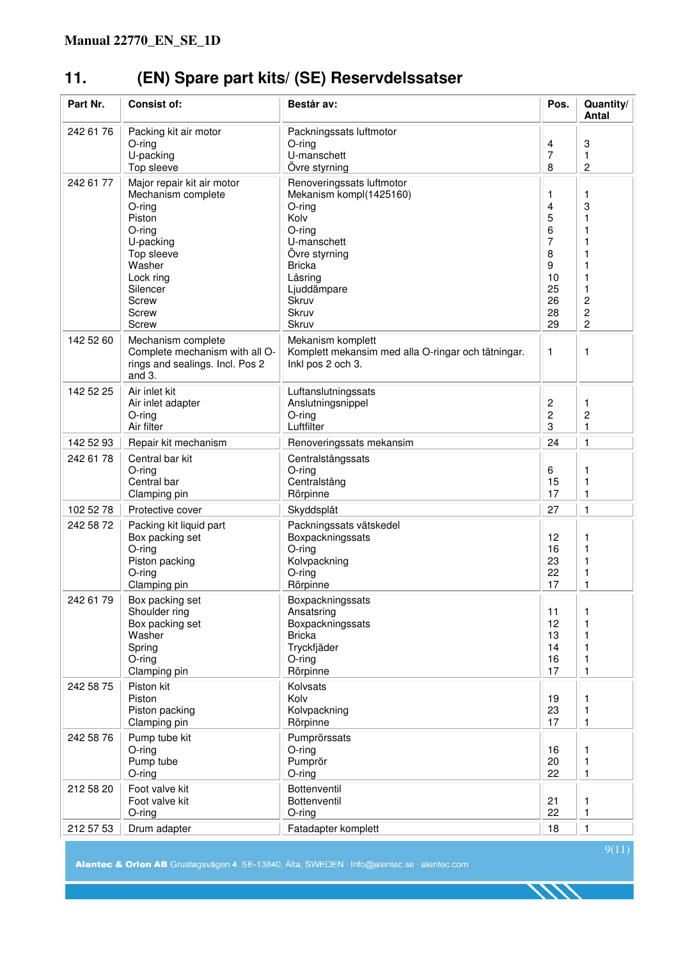# **11. (EN) Spare part kits/ (SE) Reservdelssatser**

| Part Nr.  | <b>Consist of:</b>                                                                                                                                                      | Består av:                                                                                                                                                                             | Pos.                                                          | Quantity/<br><b>Antal</b>                                                                   |
|-----------|-------------------------------------------------------------------------------------------------------------------------------------------------------------------------|----------------------------------------------------------------------------------------------------------------------------------------------------------------------------------------|---------------------------------------------------------------|---------------------------------------------------------------------------------------------|
| 242 61 76 | Packing kit air motor<br>$O$ -ring<br>U-packing<br>Top sleeve                                                                                                           | Packningssats luftmotor<br>$O$ -ring<br>U-manschett<br>Övre styrning                                                                                                                   | 4<br>7<br>8                                                   | 3<br>1<br>$\overline{c}$                                                                    |
| 242 61 77 | Major repair kit air motor<br>Mechanism complete<br>O-ring<br>Piston<br>O-ring<br>U-packing<br>Top sleeve<br>Washer<br>Lock ring<br>Silencer<br>Screw<br>Screw<br>Screw | Renoveringssats luftmotor<br>Mekanism kompl(1425160)<br>O-ring<br>Kolv<br>O-ring<br>U-manschett<br>Övre styrning<br><b>Bricka</b><br>Låsring<br>Ljuddämpare<br>Skruv<br>Skruv<br>Skruv | 1<br>4<br>5<br>6<br>7<br>8<br>9<br>10<br>25<br>26<br>28<br>29 | 1<br>3<br>1<br>1<br>1<br>1<br>1<br>1<br>1<br>$\overline{\mathbf{c}}$<br>2<br>$\overline{c}$ |
| 142 52 60 | Mechanism complete<br>Complete mechanism with all O-<br>rings and sealings. Incl. Pos 2<br>and 3.                                                                       | Mekanism komplett<br>Komplett mekansim med alla O-ringar och tätningar.<br>Inkl pos 2 och 3.                                                                                           | $\mathbf{1}$                                                  | 1                                                                                           |
| 142 52 25 | Air inlet kit<br>Air inlet adapter<br>O-ring<br>Air filter                                                                                                              | Luftanslutningssats<br>Anslutningsnippel<br>O-ring<br>Luftfilter                                                                                                                       | 2<br>2<br>3                                                   | 1<br>$\overline{\mathbf{c}}$<br>1                                                           |
| 142 52 93 | Repair kit mechanism                                                                                                                                                    | Renoveringssats mekansim                                                                                                                                                               | 24                                                            | 1                                                                                           |
| 242 61 78 | Central bar kit<br>$O$ -ring<br>Central bar<br>Clamping pin                                                                                                             | Centralstångssats<br>O-ring<br>Centralstång<br>Rörpinne                                                                                                                                | 6<br>15<br>17                                                 | 1<br>1<br>1                                                                                 |
| 102 52 78 | Protective cover                                                                                                                                                        | Skyddsplåt                                                                                                                                                                             | 27                                                            | 1                                                                                           |
| 242 58 72 | Packing kit liquid part<br>Box packing set<br>$O$ -ring<br>Piston packing<br>$O$ -ring<br>Clamping pin                                                                  | Packningssats vätskedel<br>Boxpackningssats<br>O-ring<br>Kolvpackning<br>O-ring<br>Rörpinne                                                                                            | 12<br>16<br>23<br>22<br>17                                    | 1<br>1<br>1<br>1<br>1                                                                       |
| 242 61 79 | Box packing set<br>Shoulder ring<br>Box packing set<br>Washer<br>Spring<br>O-ring<br>Clamping pin                                                                       | Boxpackningssats<br>Ansatsring<br>Boxpackningssats<br><b>Bricka</b><br>Tryckfjäder<br>O-ring<br>Rörpinne                                                                               | 11<br>12<br>13<br>14<br>16<br>17                              | 1<br>1<br>1<br>1<br>1<br>1                                                                  |
| 242 58 75 | Piston kit<br>Piston<br>Piston packing<br>Clamping pin                                                                                                                  | Kolvsats<br>Kolv<br>Kolvpackning<br>Rörpinne                                                                                                                                           | 19<br>23<br>17                                                | 1<br>1<br>1                                                                                 |
| 242 58 76 | Pump tube kit<br>$O$ -ring<br>Pump tube<br>$O$ -ring                                                                                                                    | Pumprörssats<br>O-ring<br>Pumprör<br>$O$ -ring                                                                                                                                         | 16<br>20<br>22                                                | 1<br>1<br>1                                                                                 |
| 212 58 20 | Foot valve kit<br>Foot valve kit<br>O-ring                                                                                                                              | Bottenventil<br><b>Bottenventil</b><br>$O$ -ring                                                                                                                                       | 21<br>22                                                      | 1<br>1                                                                                      |
| 212 57 53 | Drum adapter                                                                                                                                                            | Fatadapter komplett                                                                                                                                                                    | 18                                                            | 1                                                                                           |

Alentec & Orion AB Grustagsvägen 4, SE-13840, Älta, SWEDEN · Info@alentec.se · alentec.com

1111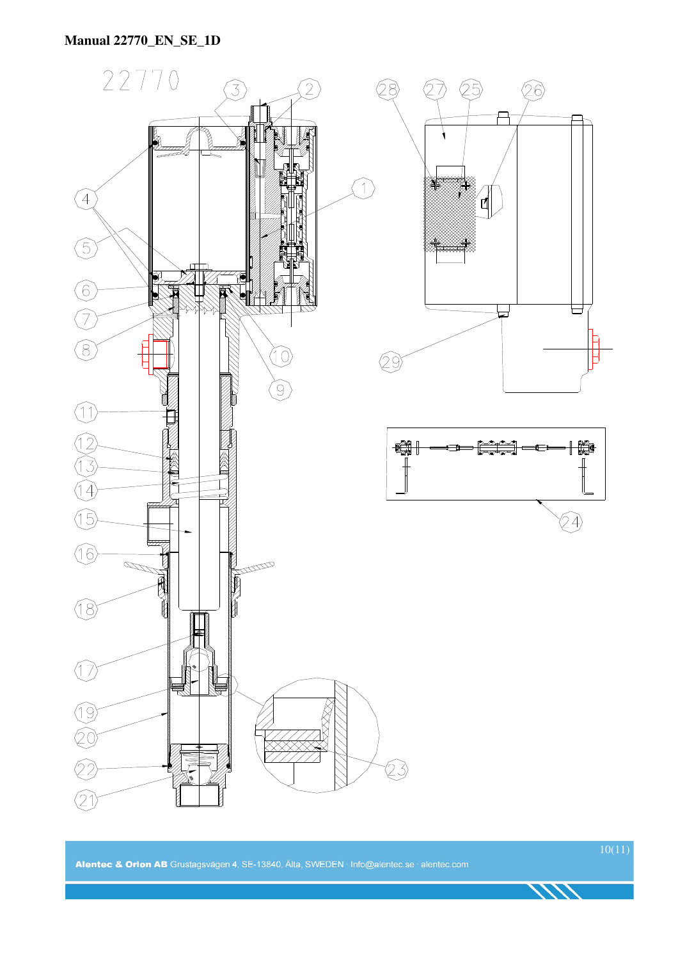

1111